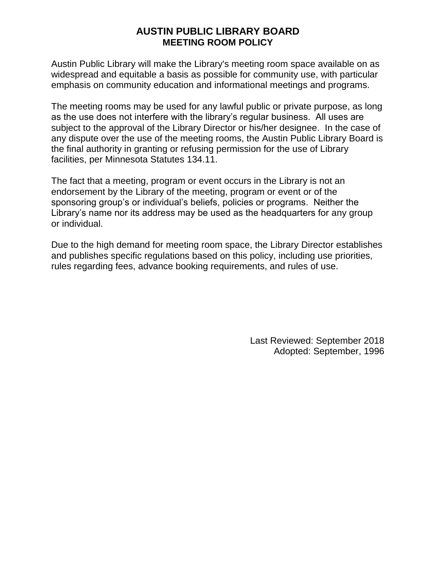## **AUSTIN PUBLIC LIBRARY BOARD MEETING ROOM POLICY**

Austin Public Library will make the Library's meeting room space available on as widespread and equitable a basis as possible for community use, with particular emphasis on community education and informational meetings and programs.

The meeting rooms may be used for any lawful public or private purpose, as long as the use does not interfere with the library's regular business. All uses are subject to the approval of the Library Director or his/her designee. In the case of any dispute over the use of the meeting rooms, the Austin Public Library Board is the final authority in granting or refusing permission for the use of Library facilities, per Minnesota Statutes 134.11.

The fact that a meeting, program or event occurs in the Library is not an endorsement by the Library of the meeting, program or event or of the sponsoring group's or individual's beliefs, policies or programs. Neither the Library's name nor its address may be used as the headquarters for any group or individual.

Due to the high demand for meeting room space, the Library Director establishes and publishes specific regulations based on this policy, including use priorities, rules regarding fees, advance booking requirements, and rules of use.

> Last Reviewed: September 2018 Adopted: September, 1996